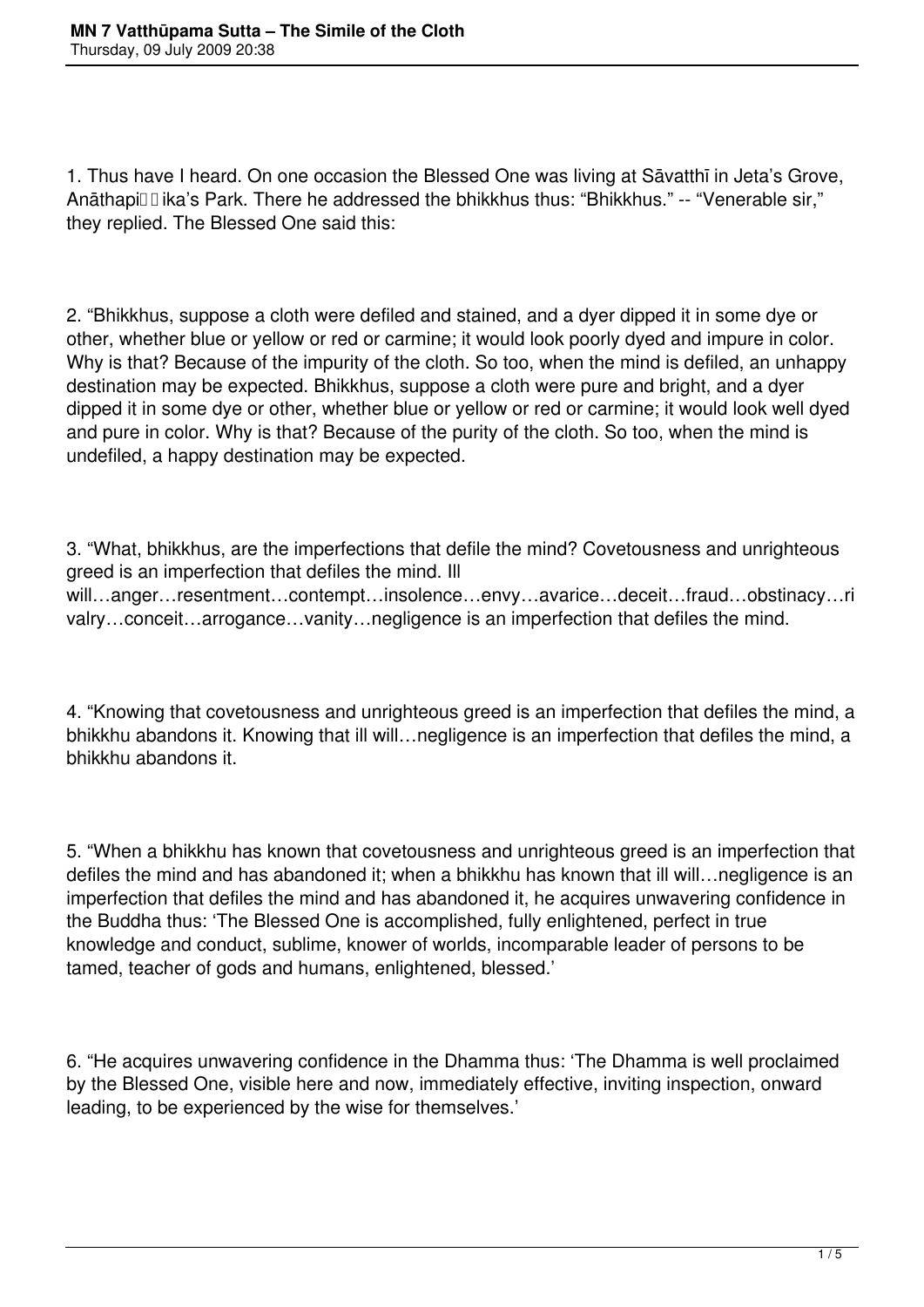1. Thus have I heard. On one occasion the Blessed One was living at Sāvatthī in Jeta's Grove, Anāthapiūūika's Park. There he addressed the bhikkhus thus: "Bhikkhus." -- "Venerable sir," they replied. The Blessed One said this:

2. "Bhikkhus, suppose a cloth were defiled and stained, and a dyer dipped it in some dye or other, whether blue or yellow or red or carmine; it would look poorly dyed and impure in color. Why is that? Because of the impurity of the cloth. So too, when the mind is defiled, an unhappy destination may be expected. Bhikkhus, suppose a cloth were pure and bright, and a dyer dipped it in some dye or other, whether blue or yellow or red or carmine; it would look well dyed and pure in color. Why is that? Because of the purity of the cloth. So too, when the mind is undefiled, a happy destination may be expected.

3. "What, bhikkhus, are the imperfections that defile the mind? Covetousness and unrighteous greed is an imperfection that defiles the mind. Ill will…anger…resentment…contempt…insolence…envy…avarice…deceit…fraud…obstinacy…ri valry…conceit…arrogance…vanity…negligence is an imperfection that defiles the mind.

4. "Knowing that covetousness and unrighteous greed is an imperfection that defiles the mind, a bhikkhu abandons it. Knowing that ill will…negligence is an imperfection that defiles the mind, a bhikkhu abandons it.

5. "When a bhikkhu has known that covetousness and unrighteous greed is an imperfection that defiles the mind and has abandoned it; when a bhikkhu has known that ill will…negligence is an imperfection that defiles the mind and has abandoned it, he acquires unwavering confidence in the Buddha thus: 'The Blessed One is accomplished, fully enlightened, perfect in true knowledge and conduct, sublime, knower of worlds, incomparable leader of persons to be tamed, teacher of gods and humans, enlightened, blessed.'

6. "He acquires unwavering confidence in the Dhamma thus: 'The Dhamma is well proclaimed by the Blessed One, visible here and now, immediately effective, inviting inspection, onward leading, to be experienced by the wise for themselves.'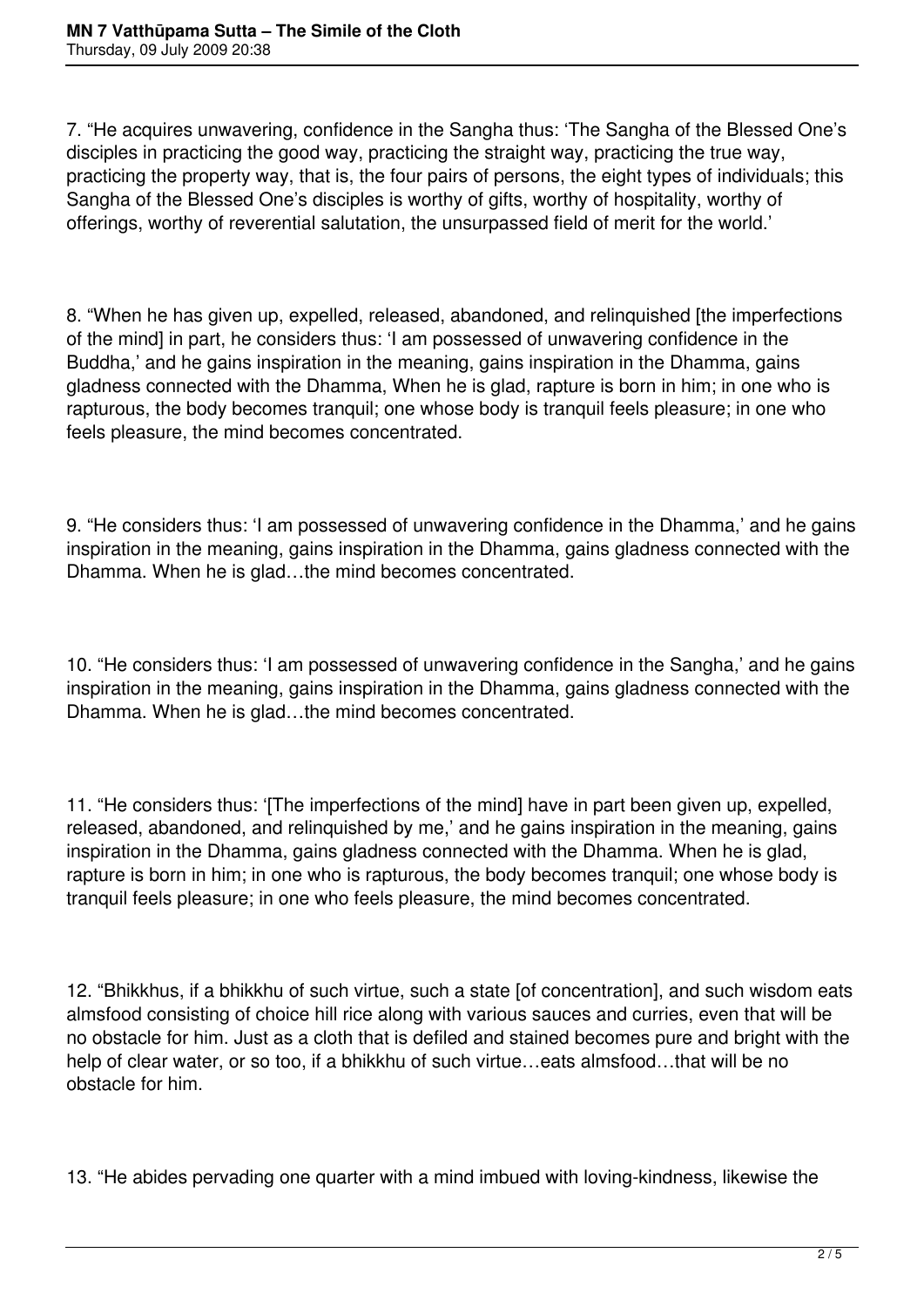7. "He acquires unwavering, confidence in the Sangha thus: 'The Sangha of the Blessed One's disciples in practicing the good way, practicing the straight way, practicing the true way, practicing the property way, that is, the four pairs of persons, the eight types of individuals; this Sangha of the Blessed One's disciples is worthy of gifts, worthy of hospitality, worthy of offerings, worthy of reverential salutation, the unsurpassed field of merit for the world.'

8. "When he has given up, expelled, released, abandoned, and relinquished [the imperfections of the mind] in part, he considers thus: 'I am possessed of unwavering confidence in the Buddha,' and he gains inspiration in the meaning, gains inspiration in the Dhamma, gains gladness connected with the Dhamma, When he is glad, rapture is born in him; in one who is rapturous, the body becomes tranquil; one whose body is tranquil feels pleasure; in one who feels pleasure, the mind becomes concentrated.

9. "He considers thus: 'I am possessed of unwavering confidence in the Dhamma,' and he gains inspiration in the meaning, gains inspiration in the Dhamma, gains gladness connected with the Dhamma. When he is glad…the mind becomes concentrated.

10. "He considers thus: 'I am possessed of unwavering confidence in the Sangha,' and he gains inspiration in the meaning, gains inspiration in the Dhamma, gains gladness connected with the Dhamma. When he is glad…the mind becomes concentrated.

11. "He considers thus: '[The imperfections of the mind] have in part been given up, expelled, released, abandoned, and relinquished by me,' and he gains inspiration in the meaning, gains inspiration in the Dhamma, gains gladness connected with the Dhamma. When he is glad, rapture is born in him; in one who is rapturous, the body becomes tranquil; one whose body is tranquil feels pleasure; in one who feels pleasure, the mind becomes concentrated.

12. "Bhikkhus, if a bhikkhu of such virtue, such a state [of concentration], and such wisdom eats almsfood consisting of choice hill rice along with various sauces and curries, even that will be no obstacle for him. Just as a cloth that is defiled and stained becomes pure and bright with the help of clear water, or so too, if a bhikkhu of such virtue…eats almsfood…that will be no obstacle for him.

13. "He abides pervading one quarter with a mind imbued with loving-kindness, likewise the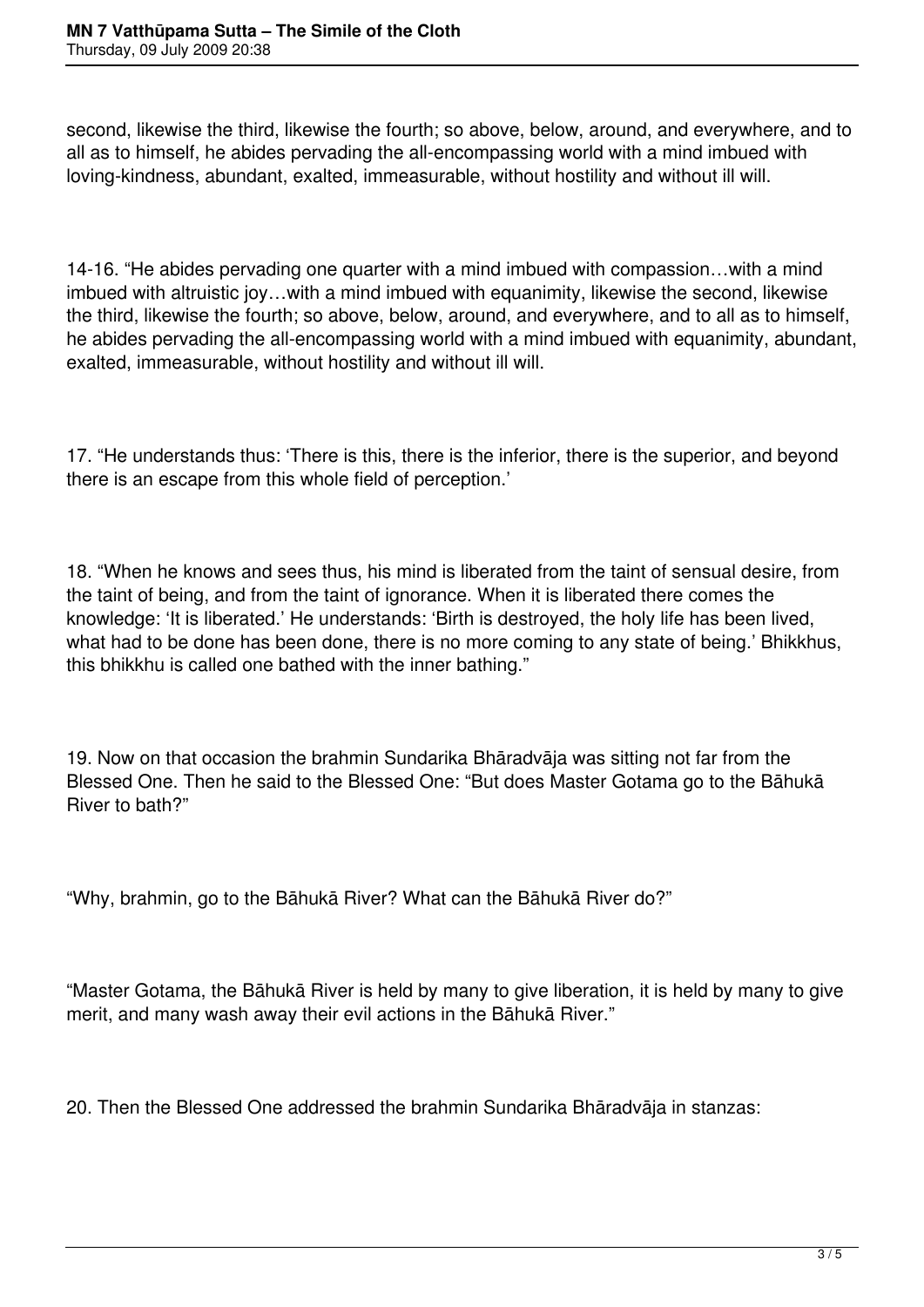second, likewise the third, likewise the fourth; so above, below, around, and everywhere, and to all as to himself, he abides pervading the all-encompassing world with a mind imbued with loving-kindness, abundant, exalted, immeasurable, without hostility and without ill will.

14-16. "He abides pervading one quarter with a mind imbued with compassion…with a mind imbued with altruistic joy…with a mind imbued with equanimity, likewise the second, likewise the third, likewise the fourth; so above, below, around, and everywhere, and to all as to himself, he abides pervading the all-encompassing world with a mind imbued with equanimity, abundant, exalted, immeasurable, without hostility and without ill will.

17. "He understands thus: 'There is this, there is the inferior, there is the superior, and beyond there is an escape from this whole field of perception.'

18. "When he knows and sees thus, his mind is liberated from the taint of sensual desire, from the taint of being, and from the taint of ignorance. When it is liberated there comes the knowledge: 'It is liberated.' He understands: 'Birth is destroyed, the holy life has been lived, what had to be done has been done, there is no more coming to any state of being.' Bhikkhus, this bhikkhu is called one bathed with the inner bathing."

19. Now on that occasion the brahmin Sundarika Bhāradvāja was sitting not far from the Blessed One. Then he said to the Blessed One: "But does Master Gotama go to the Bāhukā River to bath?"

"Why, brahmin, go to the Bāhukā River? What can the Bāhukā River do?"

"Master Gotama, the Bāhukā River is held by many to give liberation, it is held by many to give merit, and many wash away their evil actions in the Bāhukā River."

20. Then the Blessed One addressed the brahmin Sundarika Bhāradvāja in stanzas: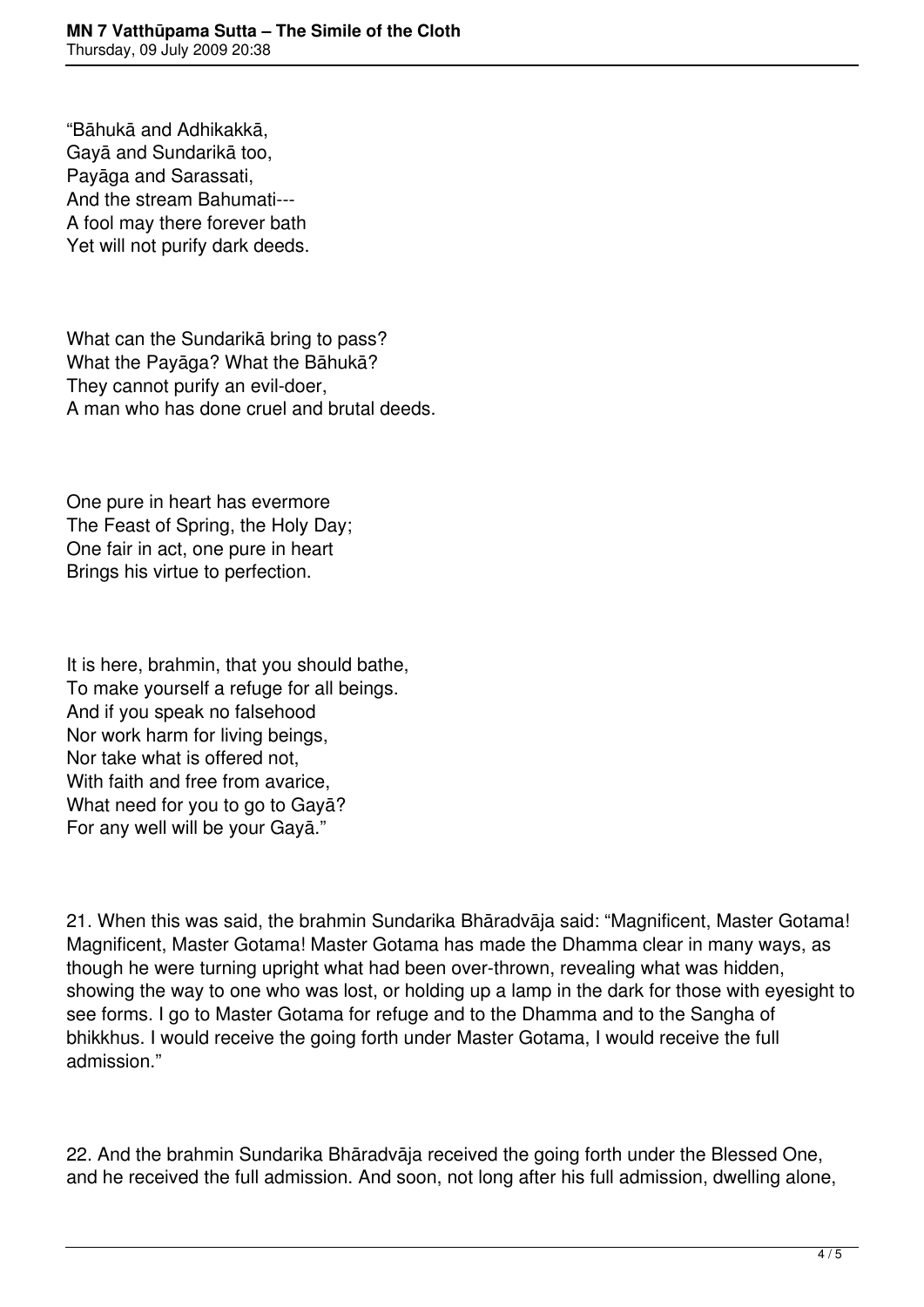"Bāhukā and Adhikakkā, Gayā and Sundarikā too, Payāga and Sarassati, And the stream Bahumati--- A fool may there forever bath Yet will not purify dark deeds.

What can the Sundarikā bring to pass? What the Payāga? What the Bāhukā? They cannot purify an evil-doer, A man who has done cruel and brutal deeds.

One pure in heart has evermore The Feast of Spring, the Holy Day; One fair in act, one pure in heart Brings his virtue to perfection.

It is here, brahmin, that you should bathe, To make yourself a refuge for all beings. And if you speak no falsehood Nor work harm for living beings, Nor take what is offered not, With faith and free from avarice, What need for you to go to Gayā? For any well will be your Gayā."

21. When this was said, the brahmin Sundarika Bhāradvāja said: "Magnificent, Master Gotama! Magnificent, Master Gotama! Master Gotama has made the Dhamma clear in many ways, as though he were turning upright what had been over-thrown, revealing what was hidden, showing the way to one who was lost, or holding up a lamp in the dark for those with eyesight to see forms. I go to Master Gotama for refuge and to the Dhamma and to the Sangha of bhikkhus. I would receive the going forth under Master Gotama, I would receive the full admission."

22. And the brahmin Sundarika Bhāradvāja received the going forth under the Blessed One, and he received the full admission. And soon, not long after his full admission, dwelling alone,